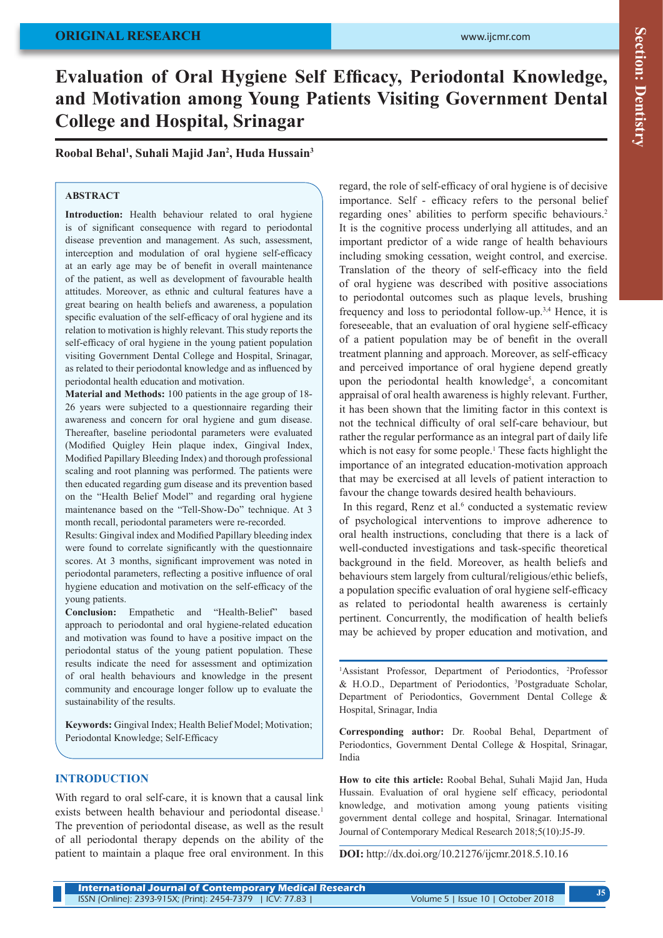## **ORIGINAL RESEARCH**

# **Evaluation of Oral Hygiene Self Efficacy, Periodontal Knowledge, and Motivation among Young Patients Visiting Government Dental College and Hospital, Srinagar**

**Roobal Behal1 , Suhali Majid Jan<sup>2</sup> , Huda Hussain<sup>3</sup>**

### **ABSTRACT**

Introduction: Health behaviour related to oral hygiene is of significant consequence with regard to periodontal disease prevention and management. As such, assessment, interception and modulation of oral hygiene self-efficacy at an early age may be of benefit in overall maintenance of the patient, as well as development of favourable health attitudes. Moreover, as ethnic and cultural features have a great bearing on health beliefs and awareness, a population specific evaluation of the self-efficacy of oral hygiene and its relation to motivation is highly relevant. This study reports the self-efficacy of oral hygiene in the young patient population visiting Government Dental College and Hospital, Srinagar, as related to their periodontal knowledge and as influenced by periodontal health education and motivation.

**Material and Methods:** 100 patients in the age group of 18- 26 years were subjected to a questionnaire regarding their awareness and concern for oral hygiene and gum disease. Thereafter, baseline periodontal parameters were evaluated (Modified Quigley Hein plaque index, Gingival Index, Modified Papillary Bleeding Index) and thorough professional scaling and root planning was performed. The patients were then educated regarding gum disease and its prevention based on the "Health Belief Model" and regarding oral hygiene maintenance based on the "Tell-Show-Do" technique. At 3 month recall, periodontal parameters were re-recorded.

Results: Gingival index and Modified Papillary bleeding index were found to correlate significantly with the questionnaire scores. At 3 months, significant improvement was noted in periodontal parameters, reflecting a positive influence of oral hygiene education and motivation on the self-efficacy of the young patients.

**Conclusion:** Empathetic and "Health-Belief" based approach to periodontal and oral hygiene-related education and motivation was found to have a positive impact on the periodontal status of the young patient population. These results indicate the need for assessment and optimization of oral health behaviours and knowledge in the present community and encourage longer follow up to evaluate the sustainability of the results.

**Keywords:** Gingival Index; Health Belief Model; Motivation; Periodontal Knowledge; Self-Efficacy

#### **INTRODUCTION**

With regard to oral self-care, it is known that a causal link exists between health behaviour and periodontal disease.<sup>1</sup> The prevention of periodontal disease, as well as the result of all periodontal therapy depends on the ability of the patient to maintain a plaque free oral environment. In this

regard, the role of self-efficacy of oral hygiene is of decisive importance. Self - efficacy refers to the personal belief regarding ones' abilities to perform specific behaviours.<sup>2</sup> It is the cognitive process underlying all attitudes, and an important predictor of a wide range of health behaviours including smoking cessation, weight control, and exercise. Translation of the theory of self-efficacy into the field of oral hygiene was described with positive associations to periodontal outcomes such as plaque levels, brushing frequency and loss to periodontal follow-up.3,4 Hence, it is foreseeable, that an evaluation of oral hygiene self-efficacy of a patient population may be of benefit in the overall treatment planning and approach. Moreover, as self-efficacy and perceived importance of oral hygiene depend greatly upon the periodontal health knowledge<sup>5</sup>, a concomitant appraisal of oral health awareness is highly relevant. Further, it has been shown that the limiting factor in this context is not the technical difficulty of oral self-care behaviour, but rather the regular performance as an integral part of daily life which is not easy for some people.<sup>1</sup> These facts highlight the importance of an integrated education-motivation approach that may be exercised at all levels of patient interaction to favour the change towards desired health behaviours.

In this regard, Renz et al.<sup>6</sup> conducted a systematic review of psychological interventions to improve adherence to oral health instructions, concluding that there is a lack of well-conducted investigations and task-specific theoretical background in the field. Moreover, as health beliefs and behaviours stem largely from cultural/religious/ethic beliefs, a population specific evaluation of oral hygiene self-efficacy as related to periodontal health awareness is certainly pertinent. Concurrently, the modification of health beliefs may be achieved by proper education and motivation, and

<sup>1</sup>Assistant Professor, Department of Periodontics, <sup>2</sup>Professor & H.O.D., Department of Periodontics, 3 Postgraduate Scholar, Department of Periodontics, Government Dental College & Hospital, Srinagar, India

**Corresponding author:** Dr. Roobal Behal, Department of Periodontics, Government Dental College & Hospital, Srinagar, India

**How to cite this article:** Roobal Behal, Suhali Majid Jan, Huda Hussain. Evaluation of oral hygiene self efficacy, periodontal knowledge, and motivation among young patients visiting government dental college and hospital, Srinagar. International Journal of Contemporary Medical Research 2018;5(10):J5-J9.

**DOI:** http://dx.doi.org/10.21276/ijcmr.2018.5.10.16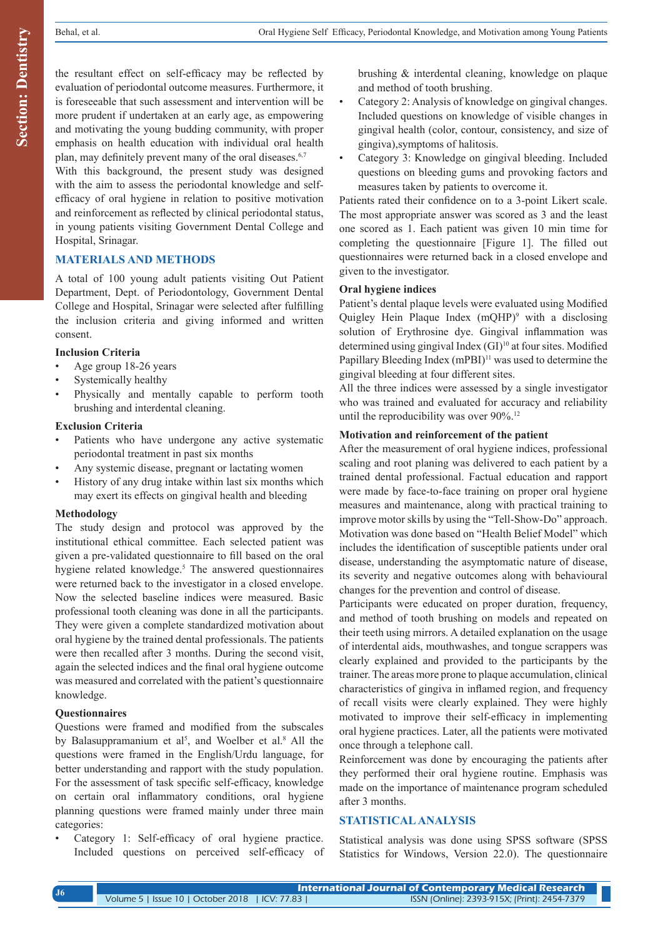the resultant effect on self-efficacy may be reflected by evaluation of periodontal outcome measures. Furthermore, it is foreseeable that such assessment and intervention will be more prudent if undertaken at an early age, as empowering and motivating the young budding community, with proper emphasis on health education with individual oral health plan, may definitely prevent many of the oral diseases.<sup>6,7</sup>

With this background, the present study was designed with the aim to assess the periodontal knowledge and selfefficacy of oral hygiene in relation to positive motivation and reinforcement as reflected by clinical periodontal status, in young patients visiting Government Dental College and Hospital, Srinagar.

## **MATERIALS AND METHODS**

A total of 100 young adult patients visiting Out Patient Department, Dept. of Periodontology, Government Dental College and Hospital, Srinagar were selected after fulfilling the inclusion criteria and giving informed and written consent.

#### **Inclusion Criteria**

- Age group 18-26 years
- Systemically healthy
- Physically and mentally capable to perform tooth brushing and interdental cleaning.

#### **Exclusion Criteria**

- Patients who have undergone any active systematic periodontal treatment in past six months
- Any systemic disease, pregnant or lactating women
- History of any drug intake within last six months which may exert its effects on gingival health and bleeding

#### **Methodology**

The study design and protocol was approved by the institutional ethical committee. Each selected patient was given a pre-validated questionnaire to fill based on the oral hygiene related knowledge.<sup>5</sup> The answered questionnaires were returned back to the investigator in a closed envelope. Now the selected baseline indices were measured. Basic professional tooth cleaning was done in all the participants. They were given a complete standardized motivation about oral hygiene by the trained dental professionals. The patients were then recalled after 3 months. During the second visit, again the selected indices and the final oral hygiene outcome was measured and correlated with the patient's questionnaire knowledge.

### **Questionnaires**

Questions were framed and modified from the subscales by Balasuppramanium et  $a^{15}$ , and Woelber et al.<sup>8</sup> All the questions were framed in the English/Urdu language, for better understanding and rapport with the study population. For the assessment of task specific self-efficacy, knowledge on certain oral inflammatory conditions, oral hygiene planning questions were framed mainly under three main categories:

Category 1: Self-efficacy of oral hygiene practice. Included questions on perceived self-efficacy of brushing & interdental cleaning, knowledge on plaque and method of tooth brushing.

- Category 2: Analysis of knowledge on gingival changes. Included questions on knowledge of visible changes in gingival health (color, contour, consistency, and size of gingiva),symptoms of halitosis.
- Category 3: Knowledge on gingival bleeding. Included questions on bleeding gums and provoking factors and measures taken by patients to overcome it.

Patients rated their confidence on to a 3‑point Likert scale. The most appropriate answer was scored as 3 and the least one scored as 1. Each patient was given 10 min time for completing the questionnaire [Figure 1]. The filled out questionnaires were returned back in a closed envelope and given to the investigator.

#### **Oral hygiene indices**

Patient's dental plaque levels were evaluated using Modified Quigley Hein Plaque Index  $(mQHP)^9$  with a disclosing solution of Erythrosine dye. Gingival inflammation was determined using gingival Index (GI)<sup>10</sup> at four sites. Modified Papillary Bleeding Index (mPBI)<sup>11</sup> was used to determine the gingival bleeding at four different sites.

All the three indices were assessed by a single investigator who was trained and evaluated for accuracy and reliability until the reproducibility was over 90%.<sup>12</sup>

#### **Motivation and reinforcement of the patient**

After the measurement of oral hygiene indices, professional scaling and root planing was delivered to each patient by a trained dental professional. Factual education and rapport were made by face-to-face training on proper oral hygiene measures and maintenance, along with practical training to improve motor skills by using the "Tell-Show-Do" approach. Motivation was done based on "Health Belief Model" which includes the identification of susceptible patients under oral disease, understanding the asymptomatic nature of disease, its severity and negative outcomes along with behavioural changes for the prevention and control of disease.

Participants were educated on proper duration, frequency, and method of tooth brushing on models and repeated on their teeth using mirrors. A detailed explanation on the usage of interdental aids, mouthwashes, and tongue scrappers was clearly explained and provided to the participants by the trainer. The areas more prone to plaque accumulation, clinical characteristics of gingiva in inflamed region, and frequency of recall visits were clearly explained. They were highly motivated to improve their self-efficacy in implementing oral hygiene practices. Later, all the patients were motivated once through a telephone call.

Reinforcement was done by encouraging the patients after they performed their oral hygiene routine. Emphasis was made on the importance of maintenance program scheduled after 3 months.

## **STATISTICAL ANALYSIS**

Statistical analysis was done using SPSS software (SPSS Statistics for Windows, Version 22.0). The questionnaire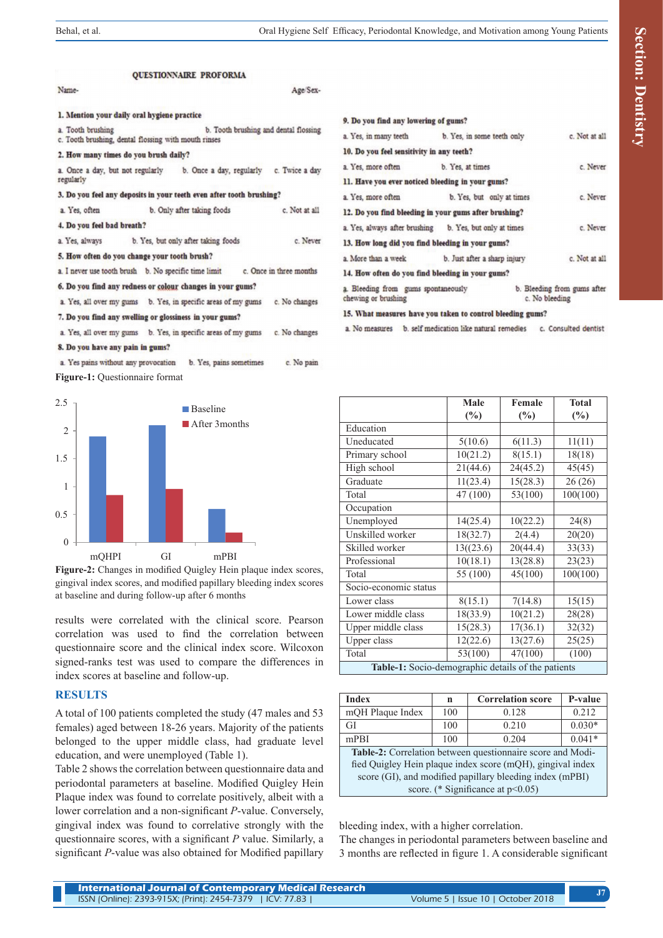**OUESTIONNAIRE PROFORMA** Name-1. Mention your daily oral hygiene practice

a. Tooth brushing b. Tooth brushing and dental flossing

Age/Sex-

c. Tooth brushing, dental flossing with mouth rinses

2. How many times do you brush daily?

4. Do you feel bad breath?

a. Once a day, but not regularly b. Once a day, regularly c. Twice a day regularly

3. Do you feel any deposits in your teeth even after tooth brushing?

a. Yes, often b. Only after taking foods c. Not at all

a. Yes, always b. Yes, but only after taking foods c. Never

5. How often do you change your tooth brush?

a. I never use tooth brush b. No specific time limit c. Once in three months

6. Do you find any redness or colour changes in your gums?

a. Yes, all over my gums b. Yes, in specific areas of my gums c. No changes

7. Do you find any swelling or glossiness in your gums?

a. Yes, all over my gums b. Yes, in specific areas of my gums c. No changes

8. Do you have any pain in gums?

a. Yes pains without any provocation b. Yes, pains sometimes c. No pain **Figure-1:** Questionnaire format



**Figure-2:** Changes in modified Quigley Hein plaque index scores, gingival index scores, and modified papillary bleeding index scores at baseline and during follow‑up after 6 months

results were correlated with the clinical score. Pearson correlation was used to find the correlation between questionnaire score and the clinical index score. Wilcoxon signed-ranks test was used to compare the differences in index scores at baseline and follow‑up.

#### **RESULTS**

A total of 100 patients completed the study (47 males and 53 females) aged between 18-26 years. Majority of the patients belonged to the upper middle class, had graduate level education, and were unemployed (Table 1).

Table 2 shows the correlation between questionnaire data and periodontal parameters at baseline. Modified Quigley Hein Plaque index was found to correlate positively, albeit with a lower correlation and a non-significant *P*-value. Conversely, gingival index was found to correlative strongly with the questionnaire scores, with a significant *P* value. Similarly, a significant *P*-value was also obtained for Modified papillary

| 9. Do you find any lowering of gums?                       |                              |                                               |               |
|------------------------------------------------------------|------------------------------|-----------------------------------------------|---------------|
| a. Yes, in many teeth                                      | b. Yes, in some teeth only   |                                               | c. Not at all |
| 10. Do you feel sensitivity in any teeth?                  |                              |                                               |               |
| a. Yes, more often                                         | b. Yes, at times             |                                               | c. Never      |
| 11. Have you ever noticed bleeding in your gums?           |                              |                                               |               |
| a. Yes, more often                                         | b. Yes, but only at times    |                                               | c. Never      |
| 12. Do you find bleeding in your gums after brushing?      |                              |                                               |               |
| a. Yes, always after brushing b. Yes, but only at times    |                              |                                               | c. Never      |
| 13. How long did you find bleeding in your gums?           |                              |                                               |               |
| a. More than a week                                        | b. Just after a sharp injury |                                               | c. Not at all |
| 14. How often do you find bleeding in your gums?           |                              |                                               |               |
| a. Bleeding from gums spontaneously<br>chewing or brushing |                              | b. Bleeding from gums after<br>c. No bleeding |               |
| 15. What measures have you taken to control bleeding gums? |                              |                                               |               |

a. No measures b. self medication like natural remedies c. Consulted dentist

|                                                    | Male      | Female               | <b>Total</b>     |  |  |
|----------------------------------------------------|-----------|----------------------|------------------|--|--|
|                                                    | $(\%)$    | $(\%)$               | $(\%)$           |  |  |
| Education                                          |           |                      |                  |  |  |
| Uneducated                                         | 5(10.6)   | 6(11.3)              | 11(11)           |  |  |
| Primary school                                     | 10(21.2)  | 8(15.1)              | 18(18)           |  |  |
| High school                                        | 21(44.6)  | 24(45.2)             | 45(45)           |  |  |
| Graduate                                           | 11(23.4)  | 15(28.3)             | 26(26)           |  |  |
| Total                                              | 47 (100)  | 53(100)              | 100(100)         |  |  |
| Occupation                                         |           |                      |                  |  |  |
| Unemployed                                         | 14(25.4)  | 10(22.2)             | 24(8)            |  |  |
| Unskilled worker                                   | 18(32.7)  | 2(4.4)               | 20(20)           |  |  |
| Skilled worker                                     | 13((23.6) | 20(44.4)<br>13(28.8) | 33(33)<br>23(23) |  |  |
| Professional                                       | 10(18.1)  |                      |                  |  |  |
| Total                                              | 55 (100)  | 45(100)              | 100(100)         |  |  |
| Socio-economic status                              |           |                      |                  |  |  |
| Lower class                                        | 8(15.1)   | 7(14.8)              | 15(15)           |  |  |
| Lower middle class                                 | 18(33.9)  | 10(21.2)             | 28(28)           |  |  |
| Upper middle class                                 | 15(28.3)  | 17(36.1)             | 32(32)           |  |  |
| Upper class                                        | 12(22.6)  | 13(27.6)             | 25(25)           |  |  |
| Total                                              | 53(100)   | 47(100)              | (100)            |  |  |
| Table-1: Socio-demographic details of the patients |           |                      |                  |  |  |

| <b>Index</b>                                               | n   | <b>Correlation score</b> | P-value  |  |  |  |
|------------------------------------------------------------|-----|--------------------------|----------|--|--|--|
| mQH Plaque Index                                           | 100 | 0.128                    | 0.212    |  |  |  |
| GI                                                         | 100 | 0.210                    | $0.030*$ |  |  |  |
| $m$ PBI                                                    | 100 | 0.204                    | $0.041*$ |  |  |  |
| Table-2: Correlation between questionnaire score and Modi- |     |                          |          |  |  |  |
| fied Quigley Hein plaque index score (mQH), gingival index |     |                          |          |  |  |  |
| score (GI), and modified papillary bleeding index (mPBI)   |     |                          |          |  |  |  |
| score. (* Significance at $p<0.05$ )                       |     |                          |          |  |  |  |

bleeding index, with a higher correlation.

The changes in periodontal parameters between baseline and 3 months are reflected in figure 1. A considerable significant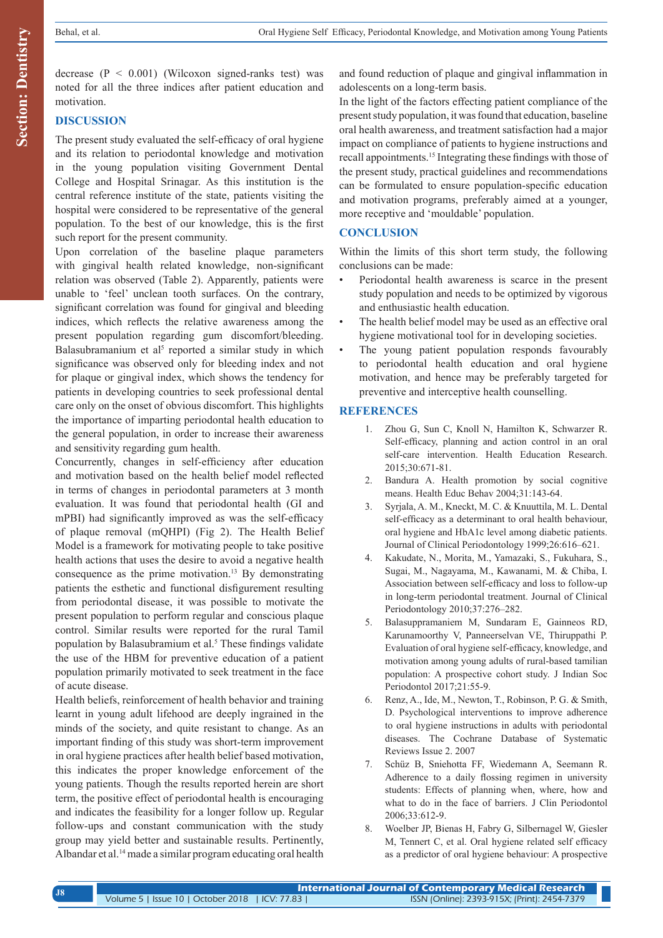decrease ( $P < 0.001$ ) (Wilcoxon signed-ranks test) was noted for all the three indices after patient education and motivation.

## **DISCUSSION**

The present study evaluated the self-efficacy of oral hygiene and its relation to periodontal knowledge and motivation in the young population visiting Government Dental College and Hospital Srinagar. As this institution is the central reference institute of the state, patients visiting the hospital were considered to be representative of the general population. To the best of our knowledge, this is the first such report for the present community.

Upon correlation of the baseline plaque parameters with gingival health related knowledge, non-significant relation was observed (Table 2). Apparently, patients were unable to 'feel' unclean tooth surfaces. On the contrary, significant correlation was found for gingival and bleeding indices, which reflects the relative awareness among the present population regarding gum discomfort/bleeding. Balasubramanium et al<sup>5</sup> reported a similar study in which significance was observed only for bleeding index and not for plaque or gingival index, which shows the tendency for patients in developing countries to seek professional dental care only on the onset of obvious discomfort. This highlights the importance of imparting periodontal health education to the general population, in order to increase their awareness and sensitivity regarding gum health.

Concurrently, changes in self-efficiency after education and motivation based on the health belief model reflected in terms of changes in periodontal parameters at 3 month evaluation. It was found that periodontal health (GI and mPBI) had significantly improved as was the self-efficacy of plaque removal (mQHPI) (Fig 2). The Health Belief Model is a framework for motivating people to take positive health actions that uses the desire to avoid a negative health consequence as the prime motivation.13 By demonstrating patients the esthetic and functional disfigurement resulting from periodontal disease, it was possible to motivate the present population to perform regular and conscious plaque control. Similar results were reported for the rural Tamil population by Balasubramium et al.<sup>5</sup> These findings validate the use of the HBM for preventive education of a patient population primarily motivated to seek treatment in the face of acute disease.

Health beliefs, reinforcement of health behavior and training learnt in young adult lifehood are deeply ingrained in the minds of the society, and quite resistant to change. As an important finding of this study was short-term improvement in oral hygiene practices after health belief based motivation, this indicates the proper knowledge enforcement of the young patients. Though the results reported herein are short term, the positive effect of periodontal health is encouraging and indicates the feasibility for a longer follow up. Regular follow‑ups and constant communication with the study group may yield better and sustainable results. Pertinently, Albandar et al.14 made a similar program educating oral health and found reduction of plaque and gingival inflammation in adolescents on a long‑term basis.

In the light of the factors effecting patient compliance of the present study population, it was found that education, baseline oral health awareness, and treatment satisfaction had a major impact on compliance of patients to hygiene instructions and recall appointments.<sup>15</sup> Integrating these findings with those of the present study, practical guidelines and recommendations can be formulated to ensure population-specific education and motivation programs, preferably aimed at a younger, more receptive and 'mouldable' population.

## **CONCLUSION**

Within the limits of this short term study, the following conclusions can be made:

- Periodontal health awareness is scarce in the present study population and needs to be optimized by vigorous and enthusiastic health education.
- The health belief model may be used as an effective oral hygiene motivational tool for in developing societies.
- The young patient population responds favourably to periodontal health education and oral hygiene motivation, and hence may be preferably targeted for preventive and interceptive health counselling.

### **REFERENCES**

- 1. Zhou G, Sun C, Knoll N, Hamilton K, Schwarzer R. Self-efficacy, planning and action control in an oral self-care intervention. Health Education Research. 2015;30:671-81.
- 2. Bandura A. Health promotion by social cognitive means. Health Educ Behav 2004;31:143‑64.
- 3. Syrjala, A. M., Kneckt, M. C. & Knuuttila, M. L. Dental self-efficacy as a determinant to oral health behaviour, oral hygiene and HbA1c level among diabetic patients. Journal of Clinical Periodontology 1999;26:616–621.
- 4. Kakudate, N., Morita, M., Yamazaki, S., Fukuhara, S., Sugai, M., Nagayama, M., Kawanami, M. & Chiba, I. Association between self-efficacy and loss to follow-up in long-term periodontal treatment. Journal of Clinical Periodontology 2010;37:276–282.
- 5. Balasuppramaniem M, Sundaram E, Gainneos RD, Karunamoorthy V, Panneerselvan VE, Thiruppathi P. Evaluation of oral hygiene self-efficacy, knowledge, and motivation among young adults of rural-based tamilian population: A prospective cohort study. J Indian Soc Periodontol 2017;21:55-9.
- 6. Renz, A., Ide, M., Newton, T., Robinson, P. G. & Smith, D. Psychological interventions to improve adherence to oral hygiene instructions in adults with periodontal diseases. The Cochrane Database of Systematic Reviews Issue 2. 2007
- 7. Schüz B, Sniehotta FF, Wiedemann A, Seemann R. Adherence to a daily flossing regimen in university students: Effects of planning when, where, how and what to do in the face of barriers. J Clin Periodontol 2006;33:612-9.
- 8. Woelber JP, Bienas H, Fabry G, Silbernagel W, Giesler M, Tennert C, et al. Oral hygiene related self efficacy as a predictor of oral hygiene behaviour: A prospective